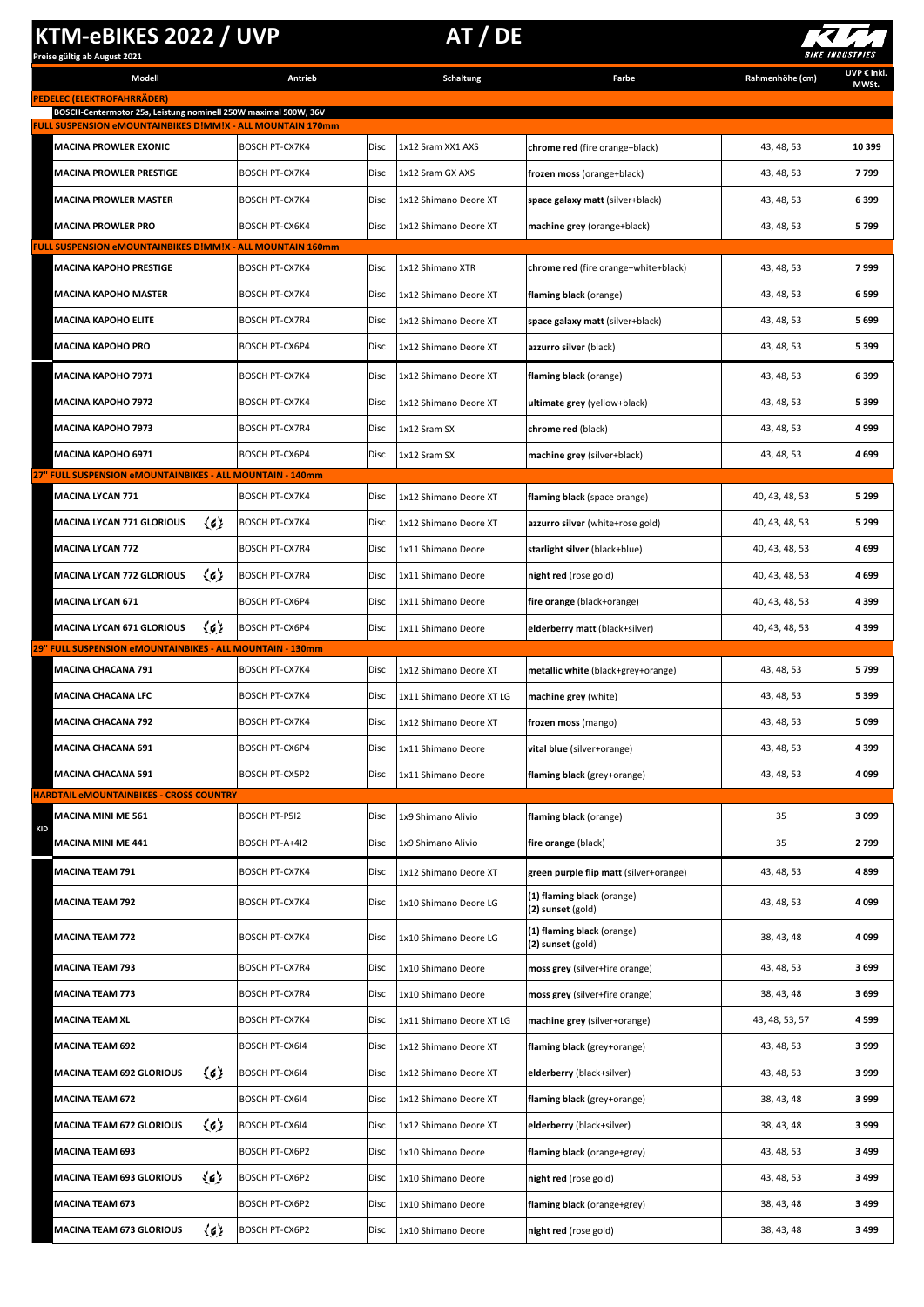## **KTM-eBIKES 2022 / UVP** AT / DE

**BOSCH-Centermotor 25s, Leistung nominell 250W maximal 500W, 36V FULL SUSPENSION eMOUNTAINBIKES D!MM!X - ALL MOUNTAIN 170mm**

**Modell Antrieb Schaltung**

**PEDELEC (ELEKTROFAHRRÄDER)**



**UVP € inkl. MWSt.**

**Farbe Rahmenhöhe (cm)**

| rarbe                          | kanm |
|--------------------------------|------|
|                                |      |
|                                |      |
|                                |      |
| chrome red (fire orange+black) |      |
|                                |      |

| MACINA PROWLER EXONIC                                                              | <b>BOSCH PT-CX7K4</b> | Disc | 1x12 Sram XX1 AXS        | chrome red (fire orange+black)                  | 43, 48, 53     | 10 399  |
|------------------------------------------------------------------------------------|-----------------------|------|--------------------------|-------------------------------------------------|----------------|---------|
| MACINA PROWLER PRESTIGE                                                            | <b>BOSCH PT-CX7K4</b> | Disc | 1x12 Sram GX AXS         | frozen moss (orange+black)                      | 43, 48, 53     | 7799    |
| MACINA PROWLER MASTER                                                              | <b>BOSCH PT-CX7K4</b> | Disc | 1x12 Shimano Deore XT    | space galaxy matt (silver+black)                | 43, 48, 53     | 6399    |
| MACINA PROWLER PRO                                                                 | BOSCH PT-CX6K4        | Disc | 1x12 Shimano Deore XT    | machine grey (orange+black)                     | 43, 48, 53     | 5799    |
| <u> FULL SUSPENSION eMOUNTAINBIKES D!MM!X - ALL MOUNTAIN 160mm</u>                 |                       |      |                          |                                                 |                |         |
| MACINA KAPOHO PRESTIGE                                                             | BOSCH PT-CX7K4        | Disc | 1x12 Shimano XTR         | chrome red (fire orange+white+black)            | 43, 48, 53     | 7999    |
| MACINA KAPOHO MASTER                                                               | <b>BOSCH PT-CX7K4</b> | Disc | 1x12 Shimano Deore XT    | flaming black (orange)                          | 43, 48, 53     | 6599    |
| <b>MACINA KAPOHO ELITE</b>                                                         | <b>BOSCH PT-CX7R4</b> | Disc | 1x12 Shimano Deore XT    | space galaxy matt (silver+black)                | 43, 48, 53     | 5699    |
| <b>MACINA KAPOHO PRO</b>                                                           | <b>BOSCH PT-CX6P4</b> | Disc | 1x12 Shimano Deore XT    | azzurro silver (black)                          | 43, 48, 53     | 5399    |
| MACINA KAPOHO 7971                                                                 | <b>BOSCH PT-CX7K4</b> | Disc | 1x12 Shimano Deore XT    | flaming black (orange)                          | 43, 48, 53     | 6399    |
| <b>MACINA KAPOHO 7972</b>                                                          | BOSCH PT-CX7K4        | Disc | 1x12 Shimano Deore XT    | ultimate grey (yellow+black)                    | 43, 48, 53     | 5399    |
| MACINA KAPOHO 7973                                                                 | BOSCH PT-CX7R4        | Disc | 1x12 Sram SX             | chrome red (black)                              | 43, 48, 53     | 4999    |
| <b>MACINA KAPOHO 6971</b>                                                          | <b>BOSCH PT-CX6P4</b> | Disc | 1x12 Sram SX             | machine grey (silver+black)                     | 43, 48, 53     | 4699    |
| 27" FULL SUSPENSION eMOUNTAINBIKES - ALL MOUNTAIN - 140mm                          |                       |      |                          |                                                 |                |         |
| <b>MACINA LYCAN 771</b>                                                            | <b>BOSCH PT-CX7K4</b> | Disc | 1x12 Shimano Deore XT    | flaming black (space orange)                    | 40, 43, 48, 53 | 5 2 9 9 |
| $\langle 6 \rangle$<br><b>MACINA LYCAN 771 GLORIOUS</b>                            | BOSCH PT-CX7K4        | Disc | 1x12 Shimano Deore XT    | azzurro silver (white+rose gold)                | 40, 43, 48, 53 | 5 2 9 9 |
| <b>MACINA LYCAN 772</b>                                                            | BOSCH PT-CX7R4        | Disc | 1x11 Shimano Deore       | starlight silver (black+blue)                   | 40, 43, 48, 53 | 4699    |
| $\langle 6 \rangle$<br>MACINA LYCAN 772 GLORIOUS                                   | <b>BOSCH PT-CX7R4</b> | Disc | 1x11 Shimano Deore       | night red (rose gold)                           | 40, 43, 48, 53 | 4699    |
| MACINA LYCAN 671                                                                   | <b>BOSCH PT-CX6P4</b> | Disc | 1x11 Shimano Deore       | fire orange (black+orange)                      | 40, 43, 48, 53 | 4399    |
| $\langle c \rangle$<br>MACINA LYCAN 671 GLORIOUS                                   | <b>BOSCH PT-CX6P4</b> | Disc | 1x11 Shimano Deore       | elderberry matt (black+silver)                  | 40, 43, 48, 53 | 4399    |
| <b>FULL SUSPENSION eMOUNTAINBIKES - ALL MOUNTAIN - 130mm</b><br>MACINA CHACANA 791 | BOSCH PT-CX7K4        | Disc | 1x12 Shimano Deore XT    | metallic white (black+grey+orange)              | 43, 48, 53     | 5799    |
| MACINA CHACANA LFC                                                                 | BOSCH PT-CX7K4        | Disc | 1x11 Shimano Deore XT LG | machine grey (white)                            | 43, 48, 53     | 5399    |
| MACINA CHACANA 792                                                                 | <b>BOSCH PT-CX7K4</b> | Disc | 1x12 Shimano Deore XT    | frozen moss (mango)                             | 43, 48, 53     | 5099    |
| MACINA CHACANA 691                                                                 | <b>BOSCH PT-CX6P4</b> | Disc | 1x11 Shimano Deore       | vital blue (silver+orange)                      | 43, 48, 53     | 4399    |
| <b>MACINA CHACANA 591</b>                                                          | BOSCH PT-CX5P2        | Disc | 1x11 Shimano Deore       | flaming black (grey+orange)                     | 43, 48, 53     | 4099    |
| <u> HARDTAIL eMOUNTAINBIKES - CROSS COUNTRY</u>                                    |                       |      |                          |                                                 |                |         |
|                                                                                    |                       |      |                          |                                                 |                |         |
| MACINA MINI ME 561                                                                 | BOSCH PT-P5I2         | Disc | 1x9 Shimano Alivio       | flaming black (orange)                          | 35             | 3099    |
| <b>KID</b><br><b>MACINA MINI ME 441</b>                                            | BOSCH PT-A+4I2        | Disc | 1x9 Shimano Alivio       | fire orange (black)                             | 35             | 2799    |
| <b>MACINA TEAM 791</b>                                                             | BOSCH PT-CX7K4        | Disc | 1x12 Shimano Deore XT    | green purple flip matt (silver+orange)          | 43, 48, 53     | 4899    |
| <b>MACINA TEAM 792</b>                                                             | BOSCH PT-CX7K4        | Disc | 1x10 Shimano Deore LG    | (1) flaming black (orange)<br>(2) sunset (gold) | 43, 48, 53     | 4099    |
| MACINA TEAM 772                                                                    | BOSCH PT-CX7K4        | Disc | 1x10 Shimano Deore LG    | (1) flaming black (orange)<br>(2) sunset (gold) | 38, 43, 48     | 4099    |
| MACINA TEAM 793                                                                    | BOSCH PT-CX7R4        | Disc | 1x10 Shimano Deore       | moss grey (silver+fire orange)                  | 43, 48, 53     | 3699    |
| MACINA TEAM 773                                                                    | BOSCH PT-CX7R4        | Disc | 1x10 Shimano Deore       | moss grey (silver+fire orange)                  | 38, 43, 48     | 3699    |
| MACINA TEAM XL                                                                     | BOSCH PT-CX7K4        | Disc | 1x11 Shimano Deore XT LG | machine grey (silver+orange)                    | 43, 48, 53, 57 | 4599    |
| MACINA TEAM 692                                                                    | <b>BOSCH PT-CX6I4</b> | Disc | 1x12 Shimano Deore XT    | flaming black (grey+orange)                     | 43, 48, 53     | 3999    |
| 《む<br><b>MACINA TEAM 692 GLORIOUS</b>                                              | BOSCH PT-CX6I4        | Disc | 1x12 Shimano Deore XT    | elderberry (black+silver)                       | 43, 48, 53     | 3999    |
| <b>MACINA TEAM 672</b>                                                             | BOSCH PT-CX6I4        | Disc | 1x12 Shimano Deore XT    | flaming black (grey+orange)                     | 38, 43, 48     | 3999    |
| 边<br><b>MACINA TEAM 672 GLORIOUS</b>                                               | BOSCH PT-CX6I4        | Disc | 1x12 Shimano Deore XT    | elderberry (black+silver)                       | 38, 43, 48     | 3999    |
| <b>MACINA TEAM 693</b>                                                             | BOSCH PT-CX6P2        | Disc | 1x10 Shimano Deore       | flaming black (orange+grey)                     | 43, 48, 53     | 3499    |
| $\langle 6 \rangle$<br><b>MACINA TEAM 693 GLORIOUS</b>                             | BOSCH PT-CX6P2        | Disc | 1x10 Shimano Deore       | night red (rose gold)                           | 43, 48, 53     | 3499    |
| <b>MACINA TEAM 673</b>                                                             | BOSCH PT-CX6P2        | Disc | 1x10 Shimano Deore       | flaming black (orange+grey)                     | 38, 43, 48     | 3499    |
| 边<br><b>MACINA TEAM 673 GLORIOUS</b>                                               | BOSCH PT-CX6P2        | Disc | 1x10 Shimano Deore       | night red (rose gold)                           | 38, 43, 48     | 3499    |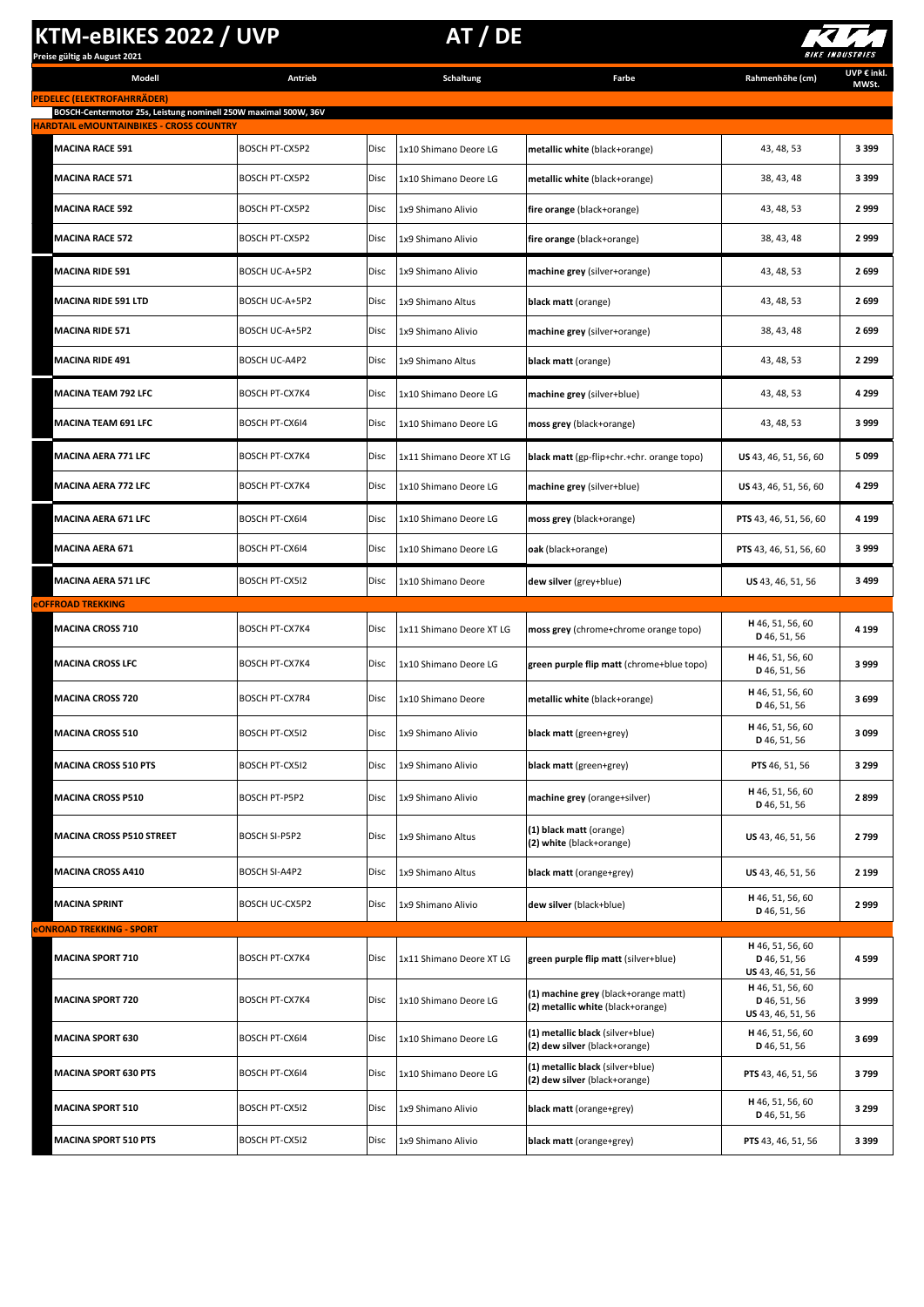## **KTM-eBIKES 2022 / UVP AT / DE**



| Preise gültig ab August 2021                                    |                       |      |                       |                                         |                 | <i>BIAL IMBUSINILS</i> |
|-----------------------------------------------------------------|-----------------------|------|-----------------------|-----------------------------------------|-----------------|------------------------|
| Modell                                                          | Antrieb               |      | Schaltung             | Farbe                                   | Rahmenhöhe (cm) | UVP € inkl.<br>MWSt.   |
| PEDELEC (ELEKTROFAHRRÄDER)                                      |                       |      |                       |                                         |                 |                        |
| BOSCH-Centermotor 25s, Leistung nominell 250W maximal 500W, 36V |                       |      |                       |                                         |                 |                        |
| <b>HARDTAIL eMOUNTAINBIKES - CROSS COUNTRY</b>                  |                       |      |                       |                                         |                 |                        |
| <b>MACINA RACE 591</b>                                          | <b>ROSCH PT-CX5P2</b> | Disc | 1x10 Shimano Deore LG | $ $ metallic white $ h $ ack+orange $ $ | 43 48 53        | 3399                   |

| <u> HARDTAIL eMOUNTAINBIKES - CROSS COUNTRY</u> |                       |             |                          |                                                                           |                                                       |         |
|-------------------------------------------------|-----------------------|-------------|--------------------------|---------------------------------------------------------------------------|-------------------------------------------------------|---------|
| <b>MACINA RACE 591</b>                          | <b>BOSCH PT-CX5P2</b> | Disc        | 1x10 Shimano Deore LG    | metallic white (black+orange)                                             | 43, 48, 53                                            | 3399    |
| <b>MACINA RACE 571</b>                          | <b>BOSCH PT-CX5P2</b> | <b>Disc</b> | 1x10 Shimano Deore LG    | metallic white (black+orange)                                             | 38, 43, 48                                            | 3399    |
| <b>MACINA RACE 592</b>                          | BOSCH PT-CX5P2        | Disc        | 1x9 Shimano Alivio       | fire orange (black+orange)                                                | 43, 48, 53                                            | 2999    |
| <b>MACINA RACE 572</b>                          | BOSCH PT-CX5P2        | Disc        | 1x9 Shimano Alivio       | fire orange (black+orange)                                                | 38, 43, 48                                            | 2999    |
| <b>MACINA RIDE 591</b>                          | BOSCH UC-A+5P2        | Disc        | 1x9 Shimano Alivio       | machine grey (silver+orange)                                              | 43, 48, 53                                            | 2699    |
| <b>MACINA RIDE 591 LTD</b>                      | BOSCH UC-A+5P2        | Disc        | 1x9 Shimano Altus        | black matt (orange)                                                       | 43, 48, 53                                            | 2699    |
| <b>MACINA RIDE 571</b>                          | BOSCH UC-A+5P2        | Disc        | 1x9 Shimano Alivio       | machine grey (silver+orange)                                              | 38, 43, 48                                            | 2699    |
| MACINA RIDE 491                                 | BOSCH UC-A4P2         | Disc        | 1x9 Shimano Altus        | black matt (orange)                                                       | 43, 48, 53                                            | 2 2 9 9 |
| MACINA TEAM 792 LFC                             | <b>BOSCH PT-CX7K4</b> | Disc        | 1x10 Shimano Deore LG    | machine grey (silver+blue)                                                | 43, 48, 53                                            | 4 2 9 9 |
| MACINA TEAM 691 LFC                             | <b>BOSCH PT-CX6I4</b> | Disc        | 1x10 Shimano Deore LG    | moss grey (black+orange)                                                  | 43, 48, 53                                            | 3999    |
| <b>MACINA AERA 771 LFC</b>                      | BOSCH PT-CX7K4        | Disc        | 1x11 Shimano Deore XT LG | black matt (gp-flip+chr.+chr. orange topo)                                | US 43, 46, 51, 56, 60                                 | 5099    |
| MACINA AERA 772 LFC                             | <b>BOSCH PT-CX7K4</b> | Disc        | 1x10 Shimano Deore LG    | machine grey (silver+blue)                                                | US 43, 46, 51, 56, 60                                 | 4 2 9 9 |
| <b>MACINA AERA 671 LFC</b>                      | BOSCH PT-CX6I4        | Disc        | 1x10 Shimano Deore LG    | moss grey (black+orange)                                                  | PTS 43, 46, 51, 56, 60                                | 4 1 9 9 |
| MACINA AERA 671                                 | BOSCH PT-CX6I4        | Disc        | 1x10 Shimano Deore LG    | oak (black+orange)                                                        | PTS 43, 46, 51, 56, 60                                | 3999    |
| <b>MACINA AERA 571 LFC</b>                      | <b>BOSCH PT-CX5I2</b> | Disc        | 1x10 Shimano Deore       | dew silver (grey+blue)                                                    | US 43, 46, 51, 56                                     | 3499    |
| <b><i><u>EOFFROAD TREKKING</u></i></b>          |                       |             |                          |                                                                           |                                                       |         |
| <b>MACINA CROSS 710</b>                         | <b>BOSCH PT-CX7K4</b> | Disc        | 1x11 Shimano Deore XT LG | moss grey (chrome+chrome orange topo)                                     | H 46, 51, 56, 60<br>D 46, 51, 56                      | 4 1 9 9 |
| MACINA CROSS LFC                                | <b>BOSCH PT-CX7K4</b> | Disc        | 1x10 Shimano Deore LG    | green purple flip matt (chrome+blue topo)                                 | H 46, 51, 56, 60<br>D 46, 51, 56                      | 3999    |
| <b>MACINA CROSS 720</b>                         | BOSCH PT-CX7R4        | Disc        | 1x10 Shimano Deore       | metallic white (black+orange)                                             | H 46, 51, 56, 60<br>D 46, 51, 56                      | 3699    |
| <b>MACINA CROSS 510</b>                         | <b>BOSCH PT-CX5I2</b> | Disc        | 1x9 Shimano Alivio       | black matt (green+grey)                                                   | H 46, 51, 56, 60<br>D 46, 51, 56                      | 3099    |
| <b>MACINA CROSS 510 PTS</b>                     | BOSCH PT-CX512        | <b>Disc</b> | 1x9 Shimano Alivio       | black matt (green+grey)                                                   | <b>PTS</b> 46, 51, 56                                 | 3 2 9 9 |
| MACINA CROSS P510                               | BOSCH PT-P5P2         | Disc        | 1x9 Shimano Alivio       | machine grey (orange+silver)                                              | H 46, 51, 56, 60<br>D 46, 51, 56                      | 2899    |
| <b>MACINA CROSS P510 STREET</b>                 | <b>BOSCH SI-P5P2</b>  | Disc        | 1x9 Shimano Altus        | (1) black matt (orange)<br>(2) white (black+orange)                       | US 43, 46, 51, 56                                     | 2799    |
| MACINA CROSS A410                               | BOSCH SI-A4P2         | Disc        | 1x9 Shimano Altus        | black matt (orange+grey)                                                  | US 43, 46, 51, 56                                     | 2 1 9 9 |
| <b>MACINA SPRINT</b>                            | BOSCH UC-CX5P2        | Disc        | 1x9 Shimano Alivio       | dew silver (black+blue)                                                   | H 46, 51, 56, 60<br>D 46, 51, 56                      | 2999    |
| <b>eONROAD TREKKING - SPORT</b>                 |                       |             |                          |                                                                           |                                                       |         |
| <b>MACINA SPORT 710</b>                         | <b>BOSCH PT-CX7K4</b> | Disc        | 1x11 Shimano Deore XT LG | green purple flip matt (silver+blue)                                      | H 46, 51, 56, 60<br>D 46, 51, 56<br>US 43, 46, 51, 56 | 4599    |
| <b>MACINA SPORT 720</b>                         | <b>BOSCH PT-CX7K4</b> | Disc        | 1x10 Shimano Deore LG    | (1) machine grey (black+orange matt)<br>(2) metallic white (black+orange) | H 46, 51, 56, 60<br>D 46, 51, 56<br>US 43, 46, 51, 56 | 3999    |
| <b>MACINA SPORT 630</b>                         | BOSCH PT-CX6I4        | Disc        | 1x10 Shimano Deore LG    | (1) metallic black (silver+blue)<br>(2) dew silver (black+orange)         | H 46, 51, 56, 60<br>D 46, 51, 56                      | 3699    |
| <b>MACINA SPORT 630 PTS</b>                     | BOSCH PT-CX6I4        | Disc        | 1x10 Shimano Deore LG    | (1) metallic black (silver+blue)<br>(2) dew silver (black+orange)         | PTS 43, 46, 51, 56                                    | 3799    |
| <b>MACINA SPORT 510</b>                         | BOSCH PT-CX512        | Disc        | 1x9 Shimano Alivio       | black matt (orange+grey)                                                  | H 46, 51, 56, 60<br>D 46, 51, 56                      | 3 2 9 9 |
| <b>MACINA SPORT 510 PTS</b>                     | BOSCH PT-CX512        | Disc        | 1x9 Shimano Alivio       | black matt (orange+grey)                                                  | PTS 43, 46, 51, 56                                    | 3399    |